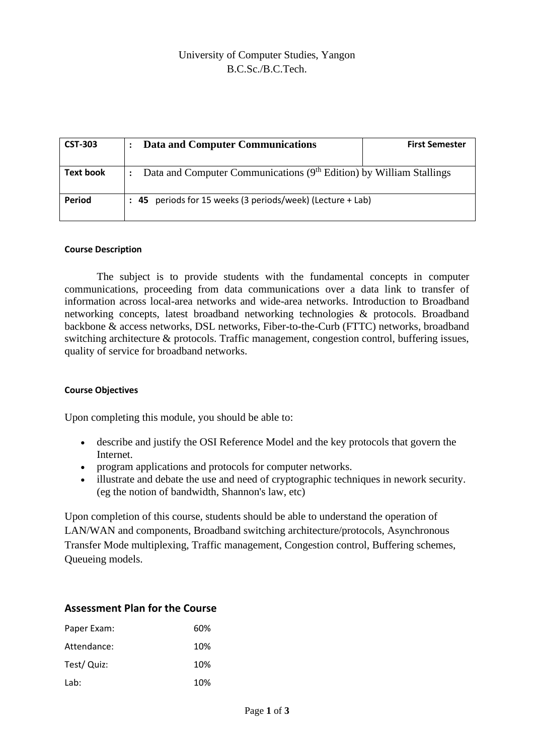| <b>CST-303</b>   | <b>Data and Computer Communications</b>                                         | <b>First Semester</b> |  |  |
|------------------|---------------------------------------------------------------------------------|-----------------------|--|--|
| <b>Text book</b> | Data and Computer Communications (9 <sup>th</sup> Edition) by William Stallings |                       |  |  |
| <b>Period</b>    | : 45 periods for 15 weeks (3 periods/week) (Lecture + Lab)                      |                       |  |  |

## **Course Description**

The subject is to provide students with the fundamental concepts in computer communications, proceeding from data communications over a data link to transfer of information across local-area networks and wide-area networks. Introduction to Broadband networking concepts, latest broadband networking technologies & protocols. Broadband backbone & access networks, DSL networks, Fiber-to-the-Curb (FTTC) networks, broadband switching architecture & protocols. Traffic management, congestion control, buffering issues, quality of service for broadband networks.

## **Course Objectives**

Upon completing this module, you should be able to:

- describe and justify the OSI Reference Model and the key protocols that govern the Internet.
- program applications and protocols for computer networks.
- illustrate and debate the use and need of cryptographic techniques in nework security. (eg the notion of bandwidth, Shannon's law, etc)

Upon completion of this course, students should be able to understand the operation of LAN/WAN and components, Broadband switching architecture/protocols, Asynchronous Transfer Mode multiplexing, Traffic management, Congestion control, Buffering schemes, Queueing models.

## **Assessment Plan for the Course**

| Paper Exam: | 60% |
|-------------|-----|
| Attendance: | 10% |
| Test/ Quiz: | 10% |
| Lab:        | 10% |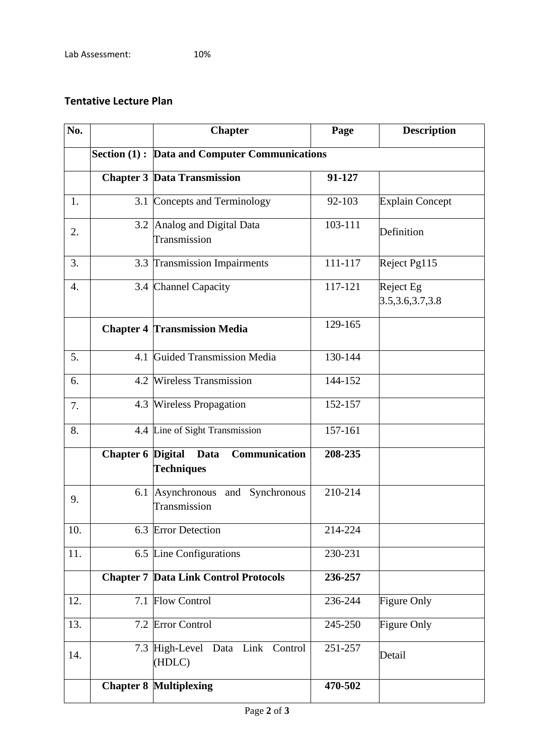## **Tentative Lecture Plan**

| No.              |                          | <b>Chapter</b>                                       | Page    | <b>Description</b>              |  |
|------------------|--------------------------|------------------------------------------------------|---------|---------------------------------|--|
|                  |                          | <b>Section (1): Data and Computer Communications</b> |         |                                 |  |
|                  |                          | <b>Chapter 3 Data Transmission</b>                   | 91-127  |                                 |  |
| 1.               | 3.1                      | Concepts and Terminology                             | 92-103  | <b>Explain Concept</b>          |  |
| 2.               | 3.2                      | Analog and Digital Data<br>Transmission              | 103-111 | Definition                      |  |
| 3.               | 3.3                      | <b>Transmission Impairments</b>                      | 111-117 | Reject Pg115                    |  |
| $\overline{4}$ . |                          | 3.4 Channel Capacity                                 | 117-121 | Reject Eg<br>3.5, 3.6, 3.7, 3.8 |  |
|                  |                          | <b>Chapter 4 Transmission Media</b>                  | 129-165 |                                 |  |
| 5.               | 4.1                      | <b>Guided Transmission Media</b>                     | 130-144 |                                 |  |
| 6.               | 4.2                      | <b>Wireless Transmission</b>                         | 144-152 |                                 |  |
| 7.               | 4.3                      | <b>Wireless Propagation</b>                          | 152-157 |                                 |  |
| 8.               |                          | 4.4 Line of Sight Transmission                       | 157-161 |                                 |  |
|                  | <b>Chapter 6 Digital</b> | Communication<br>Data<br><b>Techniques</b>           | 208-235 |                                 |  |
| 9.               | 6.1                      | Asynchronous and Synchronous<br>Transmission         | 210-214 |                                 |  |
| 10.              |                          | 6.3 Error Detection                                  | 214-224 |                                 |  |
| 11.              |                          | 6.5 Line Configurations                              | 230-231 |                                 |  |
|                  |                          | <b>Chapter 7 Data Link Control Protocols</b>         | 236-257 |                                 |  |
| 12.              | 7.1                      | <b>Flow Control</b>                                  | 236-244 | Figure Only                     |  |
| 13.              |                          | 7.2 Error Control                                    | 245-250 | Figure Only                     |  |
| 14.              |                          | 7.3 High-Level Data Link Control<br>(HDLC)           | 251-257 | Detail                          |  |
|                  |                          | <b>Chapter 8 Multiplexing</b>                        | 470-502 |                                 |  |